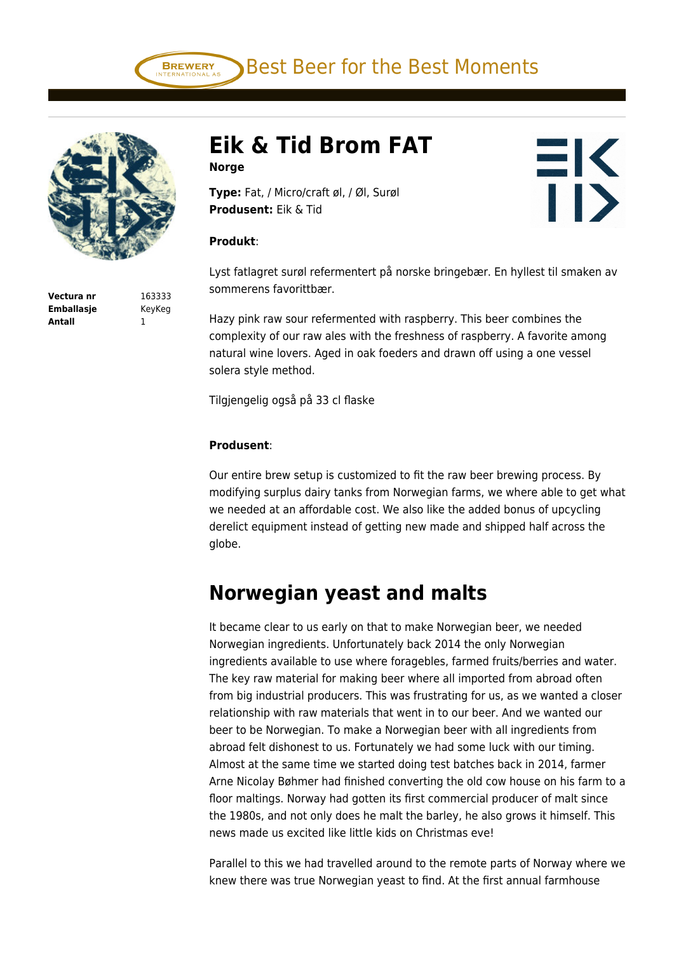



**Eik & Tid Brom FAT Norge**

**Type:** Fat, / Micro/craft øl, / Øl, Surøl **Produsent:** Eik & Tid

## **Produkt**:

Lyst fatlagret surøl refermentert på norske bringebær. En hyllest til smaken av sommerens favorittbær.

 $H<sub>2</sub>$ 

**TI>** 

Hazy pink raw sour refermented with raspberry. This beer combines the complexity of our raw ales with the freshness of raspberry. A favorite among natural wine lovers. Aged in oak foeders and drawn off using a one vessel solera style method.

Tilgjengelig også på 33 cl flaske

## **Produsent**:

Our entire brew setup is customized to fit the raw beer brewing process. By modifying surplus dairy tanks from Norwegian farms, we where able to get what we needed at an affordable cost. We also like the added bonus of upcycling derelict equipment instead of getting new made and shipped half across the globe.

## **Norwegian yeast and malts**

It became clear to us early on that to make Norwegian beer, we needed Norwegian ingredients. Unfortunately back 2014 the only Norwegian ingredients available to use where foragebles, farmed fruits/berries and water. The key raw material for making beer where all imported from abroad often from big industrial producers. This was frustrating for us, as we wanted a closer relationship with raw materials that went in to our beer. And we wanted our beer to be Norwegian. To make a Norwegian beer with all ingredients from abroad felt dishonest to us. Fortunately we had some luck with our timing. Almost at the same time we started doing test batches back in 2014, farmer Arne Nicolay Bøhmer had finished converting the old cow house on his farm to a floor maltings. Norway had gotten its first commercial producer of malt since the 1980s, and not only does he malt the barley, he also grows it himself. This news made us excited like little kids on Christmas eve!

Parallel to this we had travelled around to the remote parts of Norway where we knew there was true Norwegian yeast to find. At the first annual farmhouse

**Vectura nr** 163333 **Emballasje** KeyKeg **Antall** 1